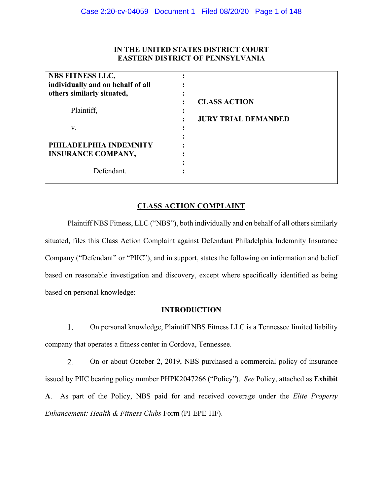# **IN THE UNITED STATES DISTRICT COURT EASTERN DISTRICT OF PENNSYLVANIA**

| <b>NBS FITNESS LLC,</b>                             |                            |
|-----------------------------------------------------|----------------------------|
| individually and on behalf of all                   |                            |
| others similarly situated,                          |                            |
|                                                     | <b>CLASS ACTION</b>        |
| Plaintiff,                                          |                            |
|                                                     | <b>JURY TRIAL DEMANDED</b> |
| V.                                                  |                            |
| PHILADELPHIA INDEMNITY<br><b>INSURANCE COMPANY,</b> |                            |
| Defendant.                                          |                            |

# **CLASS ACTION COMPLAINT**

Plaintiff NBS Fitness, LLC ("NBS"), both individually and on behalf of all others similarly situated, files this Class Action Complaint against Defendant Philadelphia Indemnity Insurance Company ("Defendant" or "PIIC"), and in support, states the following on information and belief based on reasonable investigation and discovery, except where specifically identified as being based on personal knowledge:

# **INTRODUCTION**

1. On personal knowledge, Plaintiff NBS Fitness LLC is a Tennessee limited liability company that operates a fitness center in Cordova, Tennessee.

2. On or about October 2, 2019, NBS purchased a commercial policy of insurance issued by PIIC bearing policy number PHPK2047266 ("Policy"). *See* Policy, attached as **Exhibit A**. As part of the Policy, NBS paid for and received coverage under the *Elite Property Enhancement: Health & Fitness Clubs* Form (PI-EPE-HF).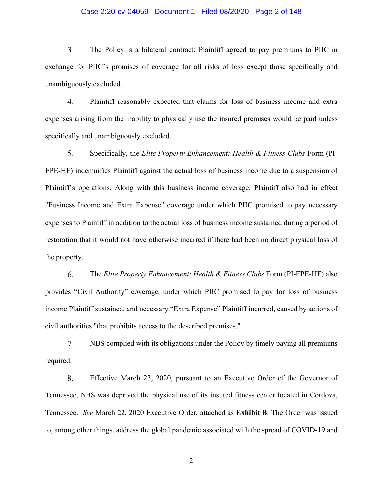### Case 2:20-cv-04059 Document 1 Filed 08/20/20 Page 2 of 148

3. The Policy is a bilateral contract: Plaintiff agreed to pay premiums to PIIC in exchange for PIIC's promises of coverage for all risks of loss except those specifically and unambiguously excluded.

4. Plaintiff reasonably expected that claims for loss of business income and extra expenses arising from the inability to physically use the insured premises would be paid unless specifically and unambiguously excluded.

5. Specifically, the *Elite Property Enhancement: Health & Fitness Clubs* Form (PI-EPE-HF) indemnifies Plaintiff against the actual loss of business income due to a suspension of Plaintiff's operations. Along with this business income coverage, Plaintiff also had in effect "Business Income and Extra Expense" coverage under which PIIC promised to pay necessary expenses to Plaintiff in addition to the actual loss of business income sustained during a period of restoration that it would not have otherwise incurred if there had been no direct physical loss of the property.

6. The *Elite Property Enhancement: Health & Fitness Clubs* Form (PI-EPE-HF) also provides "Civil Authority" coverage, under which PIIC promised to pay for loss of business income Plaintiff sustained, and necessary "Extra Expense" Plaintiff incurred, caused by actions of civil authorities "that prohibits access to the described premises."

7. NBS complied with its obligations under the Policy by timely paying all premiums required.

8. Effective March 23, 2020, pursuant to an Executive Order of the Governor of Tennessee, NBS was deprived the physical use of its insured fitness center located in Cordova, Tennessee. *See* March 22, 2020 Executive Order, attached as **Exhibit B**. The Order was issued to, among other things, address the global pandemic associated with the spread of COVID-19 and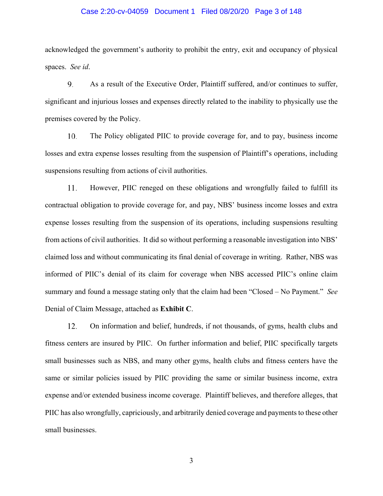### Case 2:20-cv-04059 Document 1 Filed 08/20/20 Page 3 of 148

acknowledged the government's authority to prohibit the entry, exit and occupancy of physical spaces. *See id*.

9. As a result of the Executive Order, Plaintiff suffered, and/or continues to suffer, significant and injurious losses and expenses directly related to the inability to physically use the premises covered by the Policy.

The Policy obligated PIIC to provide coverage for, and to pay, business income 10. losses and extra expense losses resulting from the suspension of Plaintiff's operations, including suspensions resulting from actions of civil authorities.

11. However, PIIC reneged on these obligations and wrongfully failed to fulfill its contractual obligation to provide coverage for, and pay, NBS' business income losses and extra expense losses resulting from the suspension of its operations, including suspensions resulting from actions of civil authorities. It did so without performing a reasonable investigation into NBS' claimed loss and without communicating its final denial of coverage in writing. Rather, NBS was informed of PIIC's denial of its claim for coverage when NBS accessed PIIC's online claim summary and found a message stating only that the claim had been "Closed – No Payment." *See*  Denial of Claim Message, attached as **Exhibit C**.

12. On information and belief, hundreds, if not thousands, of gyms, health clubs and fitness centers are insured by PIIC. On further information and belief, PIIC specifically targets small businesses such as NBS, and many other gyms, health clubs and fitness centers have the same or similar policies issued by PIIC providing the same or similar business income, extra expense and/or extended business income coverage. Plaintiff believes, and therefore alleges, that PIIC has also wrongfully, capriciously, and arbitrarily denied coverage and payments to these other small businesses.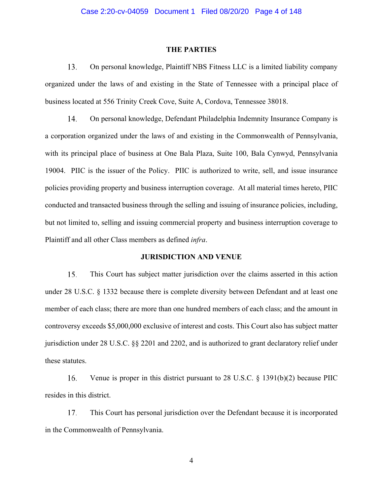#### **THE PARTIES**

13. On personal knowledge, Plaintiff NBS Fitness LLC is a limited liability company organized under the laws of and existing in the State of Tennessee with a principal place of business located at 556 Trinity Creek Cove, Suite A, Cordova, Tennessee 38018.

On personal knowledge, Defendant Philadelphia Indemnity Insurance Company is 14. a corporation organized under the laws of and existing in the Commonwealth of Pennsylvania, with its principal place of business at One Bala Plaza, Suite 100, Bala Cynwyd, Pennsylvania 19004. PIIC is the issuer of the Policy. PIIC is authorized to write, sell, and issue insurance policies providing property and business interruption coverage. At all material times hereto, PIIC conducted and transacted business through the selling and issuing of insurance policies, including, but not limited to, selling and issuing commercial property and business interruption coverage to Plaintiff and all other Class members as defined *infra*.

### **JURISDICTION AND VENUE**

15. This Court has subject matter jurisdiction over the claims asserted in this action under 28 U.S.C. § 1332 because there is complete diversity between Defendant and at least one member of each class; there are more than one hundred members of each class; and the amount in controversy exceeds \$5,000,000 exclusive of interest and costs. This Court also has subject matter jurisdiction under 28 U.S.C. §§ 2201 and 2202, and is authorized to grant declaratory relief under these statutes.

16. Venue is proper in this district pursuant to 28 U.S.C. § 1391(b)(2) because PIIC resides in this district.

17. This Court has personal jurisdiction over the Defendant because it is incorporated in the Commonwealth of Pennsylvania.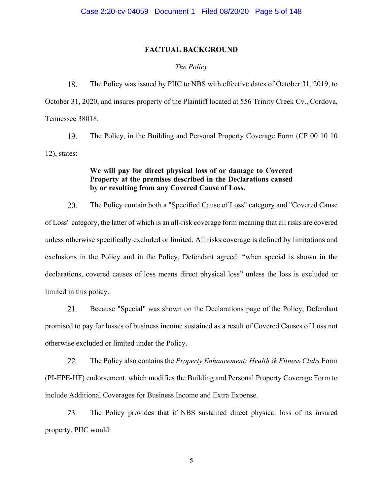### **FACTUAL BACKGROUND**

### *The Policy*

18. The Policy was issued by PIIC to NBS with effective dates of October 31, 2019, to October 31, 2020, and insures property of the Plaintiff located at 556 Trinity Creek Cv., Cordova, Tennessee 38018.

19. The Policy, in the Building and Personal Property Coverage Form (CP 00 10 10 12), states:

## **We will pay for direct physical loss of or damage to Covered Property at the premises described in the Declarations caused by or resulting from any Covered Cause of Loss.**

20. The Policy contain both a "Specified Cause of Loss" category and "Covered Cause of Loss" category, the latter of which is an all-risk coverage form meaning that all risks are covered unless otherwise specifically excluded or limited. All risks coverage is defined by limitations and exclusions in the Policy and in the Policy, Defendant agreed: "when special is shown in the declarations, covered causes of loss means direct physical loss" unless the loss is excluded or limited in this policy.

Because "Special" was shown on the Declarations page of the Policy, Defendant 21. promised to pay for losses of business income sustained as a result of Covered Causes of Loss not otherwise excluded or limited under the Policy.

22. The Policy also contains the *Property Enhancement: Health & Fitness Clubs* Form (PI-EPE-HF) endorsement, which modifies the Building and Personal Property Coverage Form to include Additional Coverages for Business Income and Extra Expense.

23. The Policy provides that if NBS sustained direct physical loss of its insured property, PIIC would: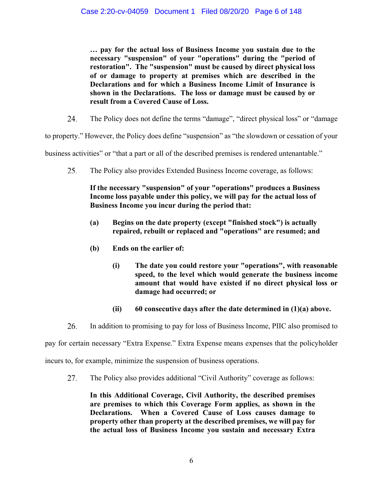**… pay for the actual loss of Business Income you sustain due to the necessary "suspension" of your "operations" during the "period of restoration". The "suspension" must be caused by direct physical loss of or damage to property at premises which are described in the Declarations and for which a Business Income Limit of Insurance is shown in the Declarations. The loss or damage must be caused by or result from a Covered Cause of Loss.**

24. The Policy does not define the terms "damage", "direct physical loss" or "damage

to property." However, the Policy does define "suspension" as "the slowdown or cessation of your

business activities" or "that a part or all of the described premises is rendered untenantable."

25. The Policy also provides Extended Business Income coverage, as follows:

# **If the necessary "suspension" of your "operations" produces a Business Income loss payable under this policy, we will pay for the actual loss of Business Income you incur during the period that:**

- **(a) Begins on the date property (except "finished stock") is actually repaired, rebuilt or replaced and "operations" are resumed; and**
- **(b) Ends on the earlier of:** 
	- **(i) The date you could restore your "operations", with reasonable speed, to the level which would generate the business income amount that would have existed if no direct physical loss or damage had occurred; or**
	- **(ii) 60 consecutive days after the date determined in (1)(a) above.**
- 26. In addition to promising to pay for loss of Business Income, PIIC also promised to

pay for certain necessary "Extra Expense." Extra Expense means expenses that the policyholder

incurs to, for example, minimize the suspension of business operations.

27. The Policy also provides additional "Civil Authority" coverage as follows:

**In this Additional Coverage, Civil Authority, the described premises are premises to which this Coverage Form applies, as shown in the Declarations. When a Covered Cause of Loss causes damage to property other than property at the described premises, we will pay for the actual loss of Business Income you sustain and necessary Extra**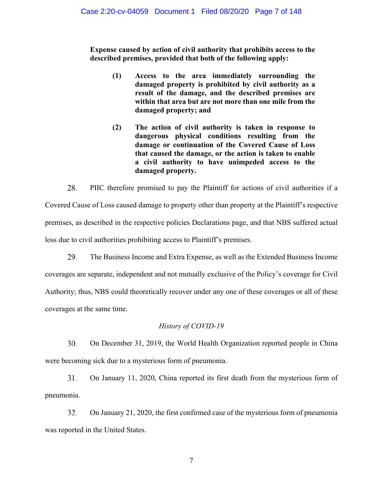**Expense caused by action of civil authority that prohibits access to the described premises, provided that both of the following apply:**

- **(1) Access to the area immediately surrounding the damaged property is prohibited by civil authority as a result of the damage, and the described premises are within that area but are not more than one mile from the damaged property; and**
- **(2) The action of civil authority is taken in response to dangerous physical conditions resulting from the damage or continuation of the Covered Cause of Loss that caused the damage, or the action is taken to enable a civil authority to have unimpeded access to the damaged property.**

28. PIIC therefore promised to pay the Plaintiff for actions of civil authorities if a Covered Cause of Loss caused damage to property other than property at the Plaintiff's respective premises, as described in the respective policies Declarations page, and that NBS suffered actual loss due to civil authorities prohibiting access to Plaintiff's premises.

29. The Business Income and Extra Expense, as well as the Extended Business Income coverages are separate, independent and not mutually exclusive of the Policy's coverage for Civil Authority; thus, NBS could theoretically recover under any one of these coverages or all of these coverages at the same time.

### *History of COVID-19*

30. On December 31, 2019, the World Health Organization reported people in China were becoming sick due to a mysterious form of pneumonia.

31. On January 11, 2020, China reported its first death from the mysterious form of pneumonia.

32. On January 21, 2020, the first confirmed case of the mysterious form of pneumonia was reported in the United States.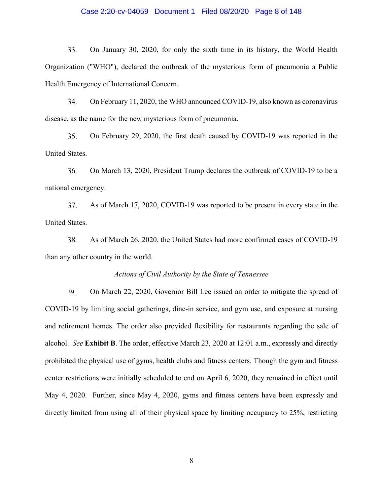### Case 2:20-cv-04059 Document 1 Filed 08/20/20 Page 8 of 148

33. On January 30, 2020, for only the sixth time in its history, the World Health Organization ("WHO"), declared the outbreak of the mysterious form of pneumonia a Public Health Emergency of International Concern.

34. On February 11, 2020, the WHO announced COVID-19, also known as coronavirus disease, as the name for the new mysterious form of pneumonia.

35. On February 29, 2020, the first death caused by COVID-19 was reported in the United States.

36. On March 13, 2020, President Trump declares the outbreak of COVID-19 to be a national emergency.

37. As of March 17, 2020, COVID-19 was reported to be present in every state in the United States.

38. As of March 26, 2020, the United States had more confirmed cases of COVID-19 than any other country in the world.

### *Actions of Civil Authority by the State of Tennessee*

39. On March 22, 2020, Governor Bill Lee issued an order to mitigate the spread of COVID-19 by limiting social gatherings, dine-in service, and gym use, and exposure at nursing and retirement homes. The order also provided flexibility for restaurants regarding the sale of alcohol. *See* **Exhibit B**. The order, effective March 23, 2020 at 12:01 a.m., expressly and directly prohibited the physical use of gyms, health clubs and fitness centers. Though the gym and fitness center restrictions were initially scheduled to end on April 6, 2020, they remained in effect until May 4, 2020. Further, since May 4, 2020, gyms and fitness centers have been expressly and directly limited from using all of their physical space by limiting occupancy to 25%, restricting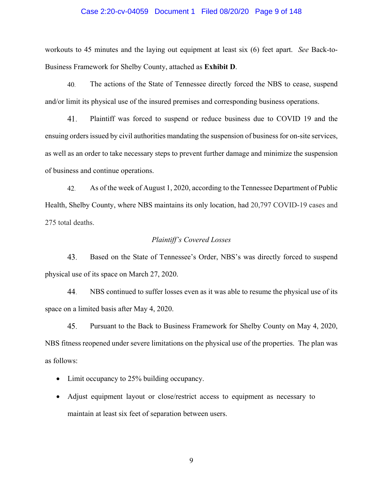### Case 2:20-cv-04059 Document 1 Filed 08/20/20 Page 9 of 148

workouts to 45 minutes and the laying out equipment at least six (6) feet apart. *See* Back-to-Business Framework for Shelby County, attached as **Exhibit D**.

40. The actions of the State of Tennessee directly forced the NBS to cease, suspend and/or limit its physical use of the insured premises and corresponding business operations.

41. Plaintiff was forced to suspend or reduce business due to COVID 19 and the ensuing orders issued by civil authorities mandating the suspension of business for on-site services, as well as an order to take necessary steps to prevent further damage and minimize the suspension of business and continue operations.

As of the week of August 1, 2020, according to the Tennessee Department of Public 42. Health, Shelby County, where NBS maintains its only location, had 20,797 COVID-19 cases and 275 total deaths.

### *Plaintiff's Covered Losses*

43. Based on the State of Tennessee's Order, NBS's was directly forced to suspend physical use of its space on March 27, 2020.

44. NBS continued to suffer losses even as it was able to resume the physical use of its space on a limited basis after May 4, 2020.

45. Pursuant to the Back to Business Framework for Shelby County on May 4, 2020, NBS fitness reopened under severe limitations on the physical use of the properties. The plan was as follows:

- Limit occupancy to 25% building occupancy.
- Adjust equipment layout or close/restrict access to equipment as necessary to maintain at least six feet of separation between users.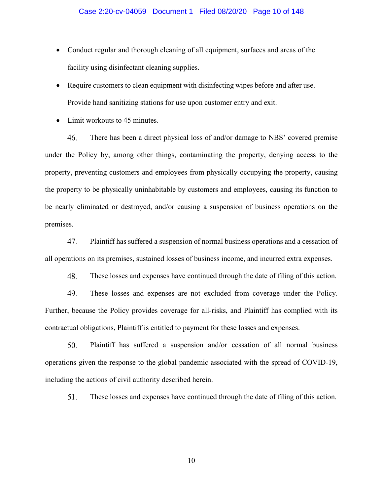- Conduct regular and thorough cleaning of all equipment, surfaces and areas of the facility using disinfectant cleaning supplies.
- Require customers to clean equipment with disinfecting wipes before and after use. Provide hand sanitizing stations for use upon customer entry and exit.
- $\bullet$  Limit workouts to 45 minutes.

46. There has been a direct physical loss of and/or damage to NBS' covered premise under the Policy by, among other things, contaminating the property, denying access to the property, preventing customers and employees from physically occupying the property, causing the property to be physically uninhabitable by customers and employees, causing its function to be nearly eliminated or destroyed, and/or causing a suspension of business operations on the premises.

47. Plaintiff has suffered a suspension of normal business operations and a cessation of all operations on its premises, sustained losses of business income, and incurred extra expenses.

48. These losses and expenses have continued through the date of filing of this action.

49. These losses and expenses are not excluded from coverage under the Policy. Further, because the Policy provides coverage for all-risks, and Plaintiff has complied with its contractual obligations, Plaintiff is entitled to payment for these losses and expenses.

50. Plaintiff has suffered a suspension and/or cessation of all normal business operations given the response to the global pandemic associated with the spread of COVID-19, including the actions of civil authority described herein.

51. These losses and expenses have continued through the date of filing of this action.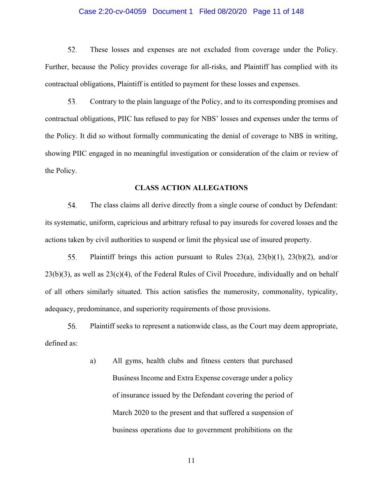### Case 2:20-cv-04059 Document 1 Filed 08/20/20 Page 11 of 148

52. These losses and expenses are not excluded from coverage under the Policy. Further, because the Policy provides coverage for all-risks, and Plaintiff has complied with its contractual obligations, Plaintiff is entitled to payment for these losses and expenses.

53. Contrary to the plain language of the Policy, and to its corresponding promises and contractual obligations, PIIC has refused to pay for NBS' losses and expenses under the terms of the Policy. It did so without formally communicating the denial of coverage to NBS in writing, showing PIIC engaged in no meaningful investigation or consideration of the claim or review of the Policy.

### **CLASS ACTION ALLEGATIONS**

54. The class claims all derive directly from a single course of conduct by Defendant: its systematic, uniform, capricious and arbitrary refusal to pay insureds for covered losses and the actions taken by civil authorities to suspend or limit the physical use of insured property.

55. Plaintiff brings this action pursuant to Rules  $23(a)$ ,  $23(b)(1)$ ,  $23(b)(2)$ , and/or  $23(b)(3)$ , as well as  $23(c)(4)$ , of the Federal Rules of Civil Procedure, individually and on behalf of all others similarly situated. This action satisfies the numerosity, commonality, typicality, adequacy, predominance, and superiority requirements of those provisions.

56. Plaintiff seeks to represent a nationwide class, as the Court may deem appropriate, defined as:

> a) All gyms, health clubs and fitness centers that purchased Business Income and Extra Expense coverage under a policy of insurance issued by the Defendant covering the period of March 2020 to the present and that suffered a suspension of business operations due to government prohibitions on the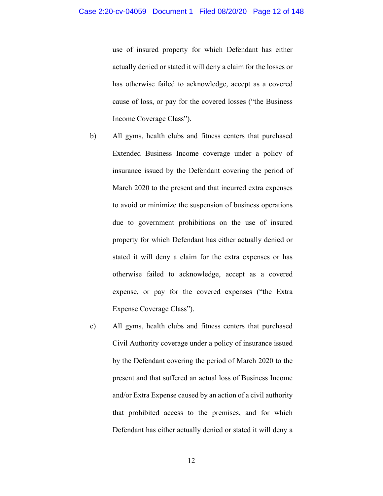use of insured property for which Defendant has either actually denied or stated it will deny a claim for the losses or has otherwise failed to acknowledge, accept as a covered cause of loss, or pay for the covered losses ("the Business Income Coverage Class").

- b) All gyms, health clubs and fitness centers that purchased Extended Business Income coverage under a policy of insurance issued by the Defendant covering the period of March 2020 to the present and that incurred extra expenses to avoid or minimize the suspension of business operations due to government prohibitions on the use of insured property for which Defendant has either actually denied or stated it will deny a claim for the extra expenses or has otherwise failed to acknowledge, accept as a covered expense, or pay for the covered expenses ("the Extra Expense Coverage Class").
- c) All gyms, health clubs and fitness centers that purchased Civil Authority coverage under a policy of insurance issued by the Defendant covering the period of March 2020 to the present and that suffered an actual loss of Business Income and/or Extra Expense caused by an action of a civil authority that prohibited access to the premises, and for which Defendant has either actually denied or stated it will deny a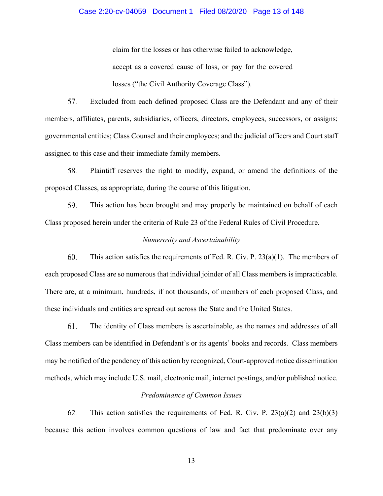### Case 2:20-cv-04059 Document 1 Filed 08/20/20 Page 13 of 148

claim for the losses or has otherwise failed to acknowledge, accept as a covered cause of loss, or pay for the covered losses ("the Civil Authority Coverage Class").

57. Excluded from each defined proposed Class are the Defendant and any of their members, affiliates, parents, subsidiaries, officers, directors, employees, successors, or assigns; governmental entities; Class Counsel and their employees; and the judicial officers and Court staff assigned to this case and their immediate family members.

Plaintiff reserves the right to modify, expand, or amend the definitions of the 58. proposed Classes, as appropriate, during the course of this litigation.

59. This action has been brought and may properly be maintained on behalf of each Class proposed herein under the criteria of Rule 23 of the Federal Rules of Civil Procedure.

### *Numerosity and Ascertainability*

60. This action satisfies the requirements of Fed. R. Civ. P. 23(a)(1). The members of each proposed Class are so numerous that individual joinder of all Class members is impracticable. There are, at a minimum, hundreds, if not thousands, of members of each proposed Class, and these individuals and entities are spread out across the State and the United States.

61. The identity of Class members is ascertainable, as the names and addresses of all Class members can be identified in Defendant's or its agents' books and records. Class members may be notified of the pendency of this action by recognized, Court-approved notice dissemination methods, which may include U.S. mail, electronic mail, internet postings, and/or published notice.

### *Predominance of Common Issues*

62. This action satisfies the requirements of Fed. R. Civ. P.  $23(a)(2)$  and  $23(b)(3)$ because this action involves common questions of law and fact that predominate over any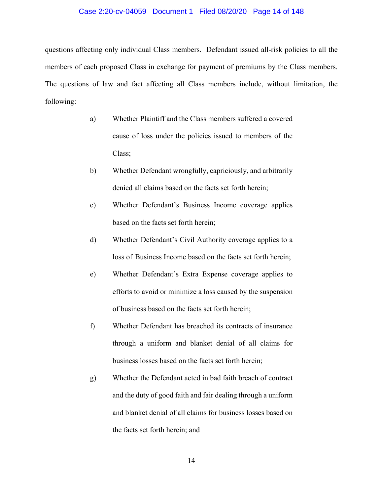#### Case 2:20-cv-04059 Document 1 Filed 08/20/20 Page 14 of 148

questions affecting only individual Class members. Defendant issued all-risk policies to all the members of each proposed Class in exchange for payment of premiums by the Class members. The questions of law and fact affecting all Class members include, without limitation, the following:

- a) Whether Plaintiff and the Class members suffered a covered cause of loss under the policies issued to members of the Class;
- b) Whether Defendant wrongfully, capriciously, and arbitrarily denied all claims based on the facts set forth herein;
- c) Whether Defendant's Business Income coverage applies based on the facts set forth herein;
- d) Whether Defendant's Civil Authority coverage applies to a loss of Business Income based on the facts set forth herein;
- e) Whether Defendant's Extra Expense coverage applies to efforts to avoid or minimize a loss caused by the suspension of business based on the facts set forth herein;
- f) Whether Defendant has breached its contracts of insurance through a uniform and blanket denial of all claims for business losses based on the facts set forth herein;
- g) Whether the Defendant acted in bad faith breach of contract and the duty of good faith and fair dealing through a uniform and blanket denial of all claims for business losses based on the facts set forth herein; and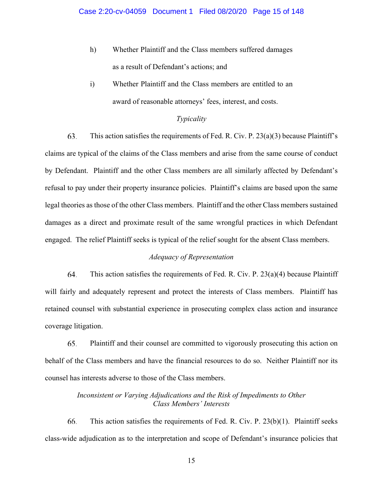- h) Whether Plaintiff and the Class members suffered damages as a result of Defendant's actions; and
- i) Whether Plaintiff and the Class members are entitled to an award of reasonable attorneys' fees, interest, and costs.

### *Typicality*

63. This action satisfies the requirements of Fed. R. Civ. P. 23(a)(3) because Plaintiff's claims are typical of the claims of the Class members and arise from the same course of conduct by Defendant. Plaintiff and the other Class members are all similarly affected by Defendant's refusal to pay under their property insurance policies. Plaintiff's claims are based upon the same legal theories as those of the other Class members. Plaintiff and the other Class members sustained damages as a direct and proximate result of the same wrongful practices in which Defendant engaged. The relief Plaintiff seeks is typical of the relief sought for the absent Class members.

# *Adequacy of Representation*

64. This action satisfies the requirements of Fed. R. Civ. P.  $23(a)(4)$  because Plaintiff will fairly and adequately represent and protect the interests of Class members. Plaintiff has retained counsel with substantial experience in prosecuting complex class action and insurance coverage litigation.

65. Plaintiff and their counsel are committed to vigorously prosecuting this action on behalf of the Class members and have the financial resources to do so. Neither Plaintiff nor its counsel has interests adverse to those of the Class members.

# *Inconsistent or Varying Adjudications and the Risk of Impediments to Other Class Members' Interests*

66. This action satisfies the requirements of Fed. R. Civ. P. 23(b)(1). Plaintiff seeks class-wide adjudication as to the interpretation and scope of Defendant's insurance policies that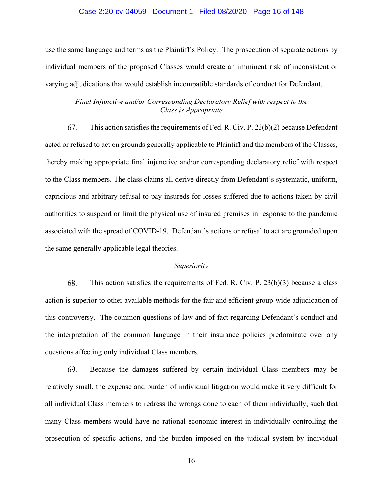#### Case 2:20-cv-04059 Document 1 Filed 08/20/20 Page 16 of 148

use the same language and terms as the Plaintiff's Policy. The prosecution of separate actions by individual members of the proposed Classes would create an imminent risk of inconsistent or varying adjudications that would establish incompatible standards of conduct for Defendant.

# *Final Injunctive and/or Corresponding Declaratory Relief with respect to the Class is Appropriate*

This action satisfies the requirements of Fed. R. Civ. P. 23(b)(2) because Defendant 67. acted or refused to act on grounds generally applicable to Plaintiff and the members of the Classes, thereby making appropriate final injunctive and/or corresponding declaratory relief with respect to the Class members. The class claims all derive directly from Defendant's systematic, uniform, capricious and arbitrary refusal to pay insureds for losses suffered due to actions taken by civil authorities to suspend or limit the physical use of insured premises in response to the pandemic associated with the spread of COVID-19. Defendant's actions or refusal to act are grounded upon the same generally applicable legal theories.

### *Superiority*

68. This action satisfies the requirements of Fed. R. Civ. P. 23(b)(3) because a class action is superior to other available methods for the fair and efficient group-wide adjudication of this controversy. The common questions of law and of fact regarding Defendant's conduct and the interpretation of the common language in their insurance policies predominate over any questions affecting only individual Class members.

69. Because the damages suffered by certain individual Class members may be relatively small, the expense and burden of individual litigation would make it very difficult for all individual Class members to redress the wrongs done to each of them individually, such that many Class members would have no rational economic interest in individually controlling the prosecution of specific actions, and the burden imposed on the judicial system by individual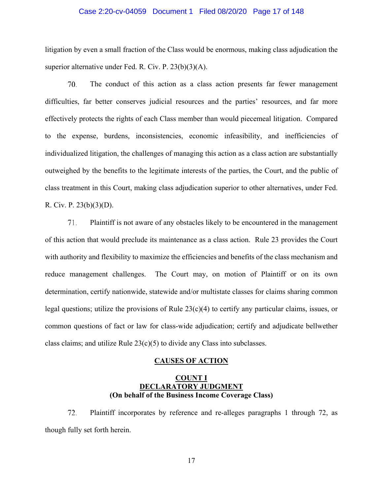#### Case 2:20-cv-04059 Document 1 Filed 08/20/20 Page 17 of 148

litigation by even a small fraction of the Class would be enormous, making class adjudication the superior alternative under Fed. R. Civ. P. 23(b)(3)(A).

70. The conduct of this action as a class action presents far fewer management difficulties, far better conserves judicial resources and the parties' resources, and far more effectively protects the rights of each Class member than would piecemeal litigation. Compared to the expense, burdens, inconsistencies, economic infeasibility, and inefficiencies of individualized litigation, the challenges of managing this action as a class action are substantially outweighed by the benefits to the legitimate interests of the parties, the Court, and the public of class treatment in this Court, making class adjudication superior to other alternatives, under Fed. R. Civ. P. 23(b)(3)(D).

71. Plaintiff is not aware of any obstacles likely to be encountered in the management of this action that would preclude its maintenance as a class action. Rule 23 provides the Court with authority and flexibility to maximize the efficiencies and benefits of the class mechanism and reduce management challenges. The Court may, on motion of Plaintiff or on its own determination, certify nationwide, statewide and/or multistate classes for claims sharing common legal questions; utilize the provisions of Rule  $23(c)(4)$  to certify any particular claims, issues, or common questions of fact or law for class-wide adjudication; certify and adjudicate bellwether class claims; and utilize Rule  $23(c)(5)$  to divide any Class into subclasses.

#### **CAUSES OF ACTION**

### **COUNT I DECLARATORY JUDGMENT (On behalf of the Business Income Coverage Class)**

72. Plaintiff incorporates by reference and re-alleges paragraphs 1 through 72, as though fully set forth herein.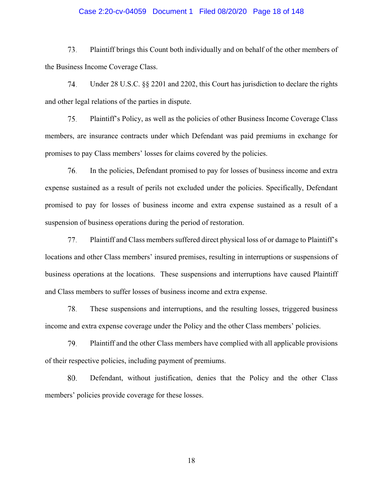### Case 2:20-cv-04059 Document 1 Filed 08/20/20 Page 18 of 148

73. Plaintiff brings this Count both individually and on behalf of the other members of the Business Income Coverage Class.

74. Under 28 U.S.C. §§ 2201 and 2202, this Court has jurisdiction to declare the rights and other legal relations of the parties in dispute.

75. Plaintiff's Policy, as well as the policies of other Business Income Coverage Class members, are insurance contracts under which Defendant was paid premiums in exchange for promises to pay Class members' losses for claims covered by the policies.

In the policies, Defendant promised to pay for losses of business income and extra 76. expense sustained as a result of perils not excluded under the policies. Specifically, Defendant promised to pay for losses of business income and extra expense sustained as a result of a suspension of business operations during the period of restoration.

77. Plaintiff and Class members suffered direct physical loss of or damage to Plaintiff's locations and other Class members' insured premises, resulting in interruptions or suspensions of business operations at the locations. These suspensions and interruptions have caused Plaintiff and Class members to suffer losses of business income and extra expense.

78. These suspensions and interruptions, and the resulting losses, triggered business income and extra expense coverage under the Policy and the other Class members' policies.

79. Plaintiff and the other Class members have complied with all applicable provisions of their respective policies, including payment of premiums.

80. Defendant, without justification, denies that the Policy and the other Class members' policies provide coverage for these losses.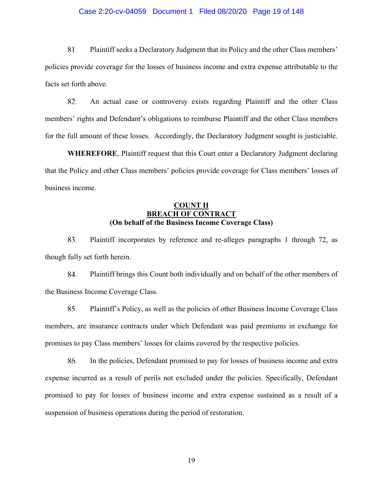### Case 2:20-cv-04059 Document 1 Filed 08/20/20 Page 19 of 148

81. Plaintiff seeks a Declaratory Judgment that its Policy and the other Class members' policies provide coverage for the losses of business income and extra expense attributable to the facts set forth above.

82. An actual case or controversy exists regarding Plaintiff and the other Class members' rights and Defendant's obligations to reimburse Plaintiff and the other Class members for the full amount of these losses. Accordingly, the Declaratory Judgment sought is justiciable.

**WHEREFORE**, Plaintiff request that this Court enter a Declaratory Judgment declaring that the Policy and other Class members' policies provide coverage for Class members' losses of business income.

### **COUNT II BREACH OF CONTRACT (On behalf of the Business Income Coverage Class)**

83. Plaintiff incorporates by reference and re-alleges paragraphs 1 through 72, as though fully set forth herein.

84. Plaintiff brings this Count both individually and on behalf of the other members of the Business Income Coverage Class.

85. Plaintiff's Policy, as well as the policies of other Business Income Coverage Class members, are insurance contracts under which Defendant was paid premiums in exchange for promises to pay Class members' losses for claims covered by the respective policies.

86. In the policies, Defendant promised to pay for losses of business income and extra expense incurred as a result of perils not excluded under the policies. Specifically, Defendant promised to pay for losses of business income and extra expense sustained as a result of a suspension of business operations during the period of restoration.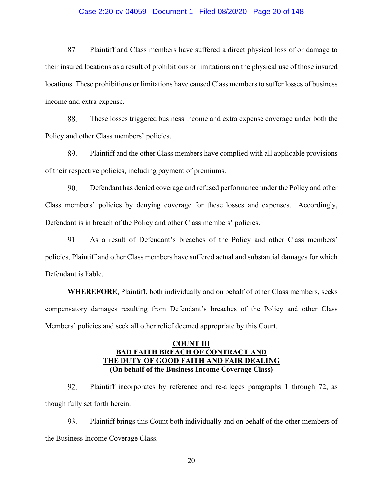### Case 2:20-cv-04059 Document 1 Filed 08/20/20 Page 20 of 148

87. Plaintiff and Class members have suffered a direct physical loss of or damage to their insured locations as a result of prohibitions or limitations on the physical use of those insured locations. These prohibitions or limitations have caused Class members to suffer losses of business income and extra expense.

88. These losses triggered business income and extra expense coverage under both the Policy and other Class members' policies.

89. Plaintiff and the other Class members have complied with all applicable provisions of their respective policies, including payment of premiums.

90. Defendant has denied coverage and refused performance under the Policy and other Class members' policies by denying coverage for these losses and expenses. Accordingly, Defendant is in breach of the Policy and other Class members' policies.

91. As a result of Defendant's breaches of the Policy and other Class members' policies, Plaintiff and other Class members have suffered actual and substantial damages for which Defendant is liable.

**WHEREFORE**, Plaintiff, both individually and on behalf of other Class members, seeks compensatory damages resulting from Defendant's breaches of the Policy and other Class Members' policies and seek all other relief deemed appropriate by this Court.

# **COUNT III BAD FAITH BREACH OF CONTRACT AND THE DUTY OF GOOD FAITH AND FAIR DEALING (On behalf of the Business Income Coverage Class)**

92. Plaintiff incorporates by reference and re-alleges paragraphs 1 through 72, as though fully set forth herein.

93. Plaintiff brings this Count both individually and on behalf of the other members of the Business Income Coverage Class.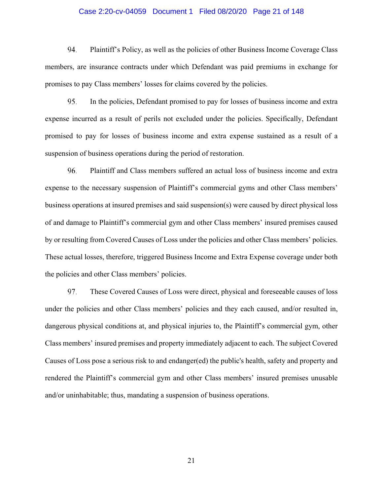### Case 2:20-cv-04059 Document 1 Filed 08/20/20 Page 21 of 148

94. Plaintiff's Policy, as well as the policies of other Business Income Coverage Class members, are insurance contracts under which Defendant was paid premiums in exchange for promises to pay Class members' losses for claims covered by the policies.

95. In the policies, Defendant promised to pay for losses of business income and extra expense incurred as a result of perils not excluded under the policies. Specifically, Defendant promised to pay for losses of business income and extra expense sustained as a result of a suspension of business operations during the period of restoration.

96. Plaintiff and Class members suffered an actual loss of business income and extra expense to the necessary suspension of Plaintiff's commercial gyms and other Class members' business operations at insured premises and said suspension(s) were caused by direct physical loss of and damage to Plaintiff's commercial gym and other Class members' insured premises caused by or resulting from Covered Causes of Loss under the policies and other Class members' policies. These actual losses, therefore, triggered Business Income and Extra Expense coverage under both the policies and other Class members' policies.

97. These Covered Causes of Loss were direct, physical and foreseeable causes of loss under the policies and other Class members' policies and they each caused, and/or resulted in, dangerous physical conditions at, and physical injuries to, the Plaintiff's commercial gym, other Class members' insured premises and property immediately adjacent to each. The subject Covered Causes of Loss pose a serious risk to and endanger(ed) the public's health, safety and property and rendered the Plaintiff's commercial gym and other Class members' insured premises unusable and/or uninhabitable; thus, mandating a suspension of business operations.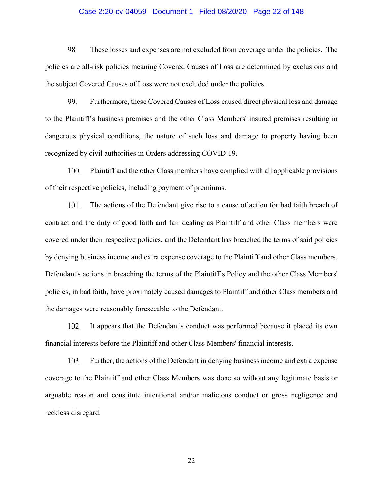### Case 2:20-cv-04059 Document 1 Filed 08/20/20 Page 22 of 148

98. These losses and expenses are not excluded from coverage under the policies. The policies are all-risk policies meaning Covered Causes of Loss are determined by exclusions and the subject Covered Causes of Loss were not excluded under the policies.

99. Furthermore, these Covered Causes of Loss caused direct physical loss and damage to the Plaintiff's business premises and the other Class Members' insured premises resulting in dangerous physical conditions, the nature of such loss and damage to property having been recognized by civil authorities in Orders addressing COVID-19.

Plaintiff and the other Class members have complied with all applicable provisions 100. of their respective policies, including payment of premiums.

101. The actions of the Defendant give rise to a cause of action for bad faith breach of contract and the duty of good faith and fair dealing as Plaintiff and other Class members were covered under their respective policies, and the Defendant has breached the terms of said policies by denying business income and extra expense coverage to the Plaintiff and other Class members. Defendant's actions in breaching the terms of the Plaintiff's Policy and the other Class Members' policies, in bad faith, have proximately caused damages to Plaintiff and other Class members and the damages were reasonably foreseeable to the Defendant.

102. It appears that the Defendant's conduct was performed because it placed its own financial interests before the Plaintiff and other Class Members' financial interests.

103. Further, the actions of the Defendant in denying business income and extra expense coverage to the Plaintiff and other Class Members was done so without any legitimate basis or arguable reason and constitute intentional and/or malicious conduct or gross negligence and reckless disregard.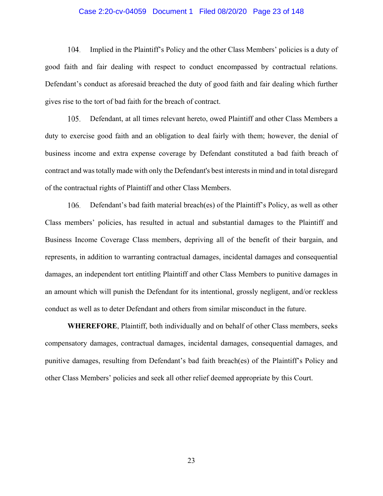### Case 2:20-cv-04059 Document 1 Filed 08/20/20 Page 23 of 148

104. Implied in the Plaintiff's Policy and the other Class Members' policies is a duty of good faith and fair dealing with respect to conduct encompassed by contractual relations. Defendant's conduct as aforesaid breached the duty of good faith and fair dealing which further gives rise to the tort of bad faith for the breach of contract.

105. Defendant, at all times relevant hereto, owed Plaintiff and other Class Members a duty to exercise good faith and an obligation to deal fairly with them; however, the denial of business income and extra expense coverage by Defendant constituted a bad faith breach of contract and was totally made with only the Defendant's best interests in mind and in total disregard of the contractual rights of Plaintiff and other Class Members.

106. Defendant's bad faith material breach(es) of the Plaintiff's Policy, as well as other Class members' policies, has resulted in actual and substantial damages to the Plaintiff and Business Income Coverage Class members, depriving all of the benefit of their bargain, and represents, in addition to warranting contractual damages, incidental damages and consequential damages, an independent tort entitling Plaintiff and other Class Members to punitive damages in an amount which will punish the Defendant for its intentional, grossly negligent, and/or reckless conduct as well as to deter Defendant and others from similar misconduct in the future.

**WHEREFORE**, Plaintiff, both individually and on behalf of other Class members, seeks compensatory damages, contractual damages, incidental damages, consequential damages, and punitive damages, resulting from Defendant's bad faith breach(es) of the Plaintiff's Policy and other Class Members' policies and seek all other relief deemed appropriate by this Court.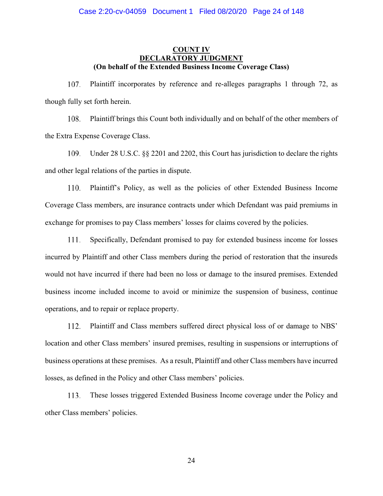### **COUNT IV DECLARATORY JUDGMENT (On behalf of the Extended Business Income Coverage Class)**

107. Plaintiff incorporates by reference and re-alleges paragraphs 1 through 72, as though fully set forth herein.

108. Plaintiff brings this Count both individually and on behalf of the other members of the Extra Expense Coverage Class.

109. Under 28 U.S.C. §§ 2201 and 2202, this Court has jurisdiction to declare the rights and other legal relations of the parties in dispute.

Plaintiff's Policy, as well as the policies of other Extended Business Income 110. Coverage Class members, are insurance contracts under which Defendant was paid premiums in exchange for promises to pay Class members' losses for claims covered by the policies.

111. Specifically, Defendant promised to pay for extended business income for losses incurred by Plaintiff and other Class members during the period of restoration that the insureds would not have incurred if there had been no loss or damage to the insured premises. Extended business income included income to avoid or minimize the suspension of business, continue operations, and to repair or replace property.

112. Plaintiff and Class members suffered direct physical loss of or damage to NBS' location and other Class members' insured premises, resulting in suspensions or interruptions of business operations at these premises. As a result, Plaintiff and other Class members have incurred losses, as defined in the Policy and other Class members' policies.

These losses triggered Extended Business Income coverage under the Policy and 113. other Class members' policies.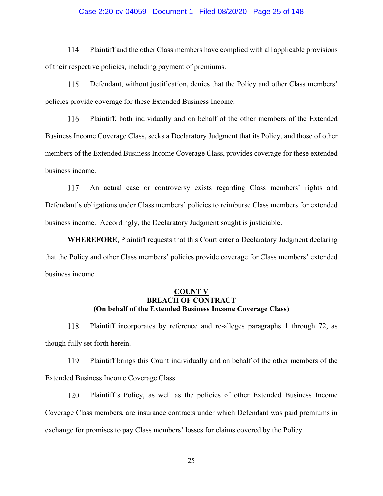### Case 2:20-cv-04059 Document 1 Filed 08/20/20 Page 25 of 148

114. Plaintiff and the other Class members have complied with all applicable provisions of their respective policies, including payment of premiums.

115. Defendant, without justification, denies that the Policy and other Class members' policies provide coverage for these Extended Business Income.

116. Plaintiff, both individually and on behalf of the other members of the Extended Business Income Coverage Class, seeks a Declaratory Judgment that its Policy, and those of other members of the Extended Business Income Coverage Class, provides coverage for these extended business income.

An actual case or controversy exists regarding Class members' rights and Defendant's obligations under Class members' policies to reimburse Class members for extended business income. Accordingly, the Declaratory Judgment sought is justiciable.

**WHEREFORE**, Plaintiff requests that this Court enter a Declaratory Judgment declaring that the Policy and other Class members' policies provide coverage for Class members' extended business income

## **COUNT V BREACH OF CONTRACT (On behalf of the Extended Business Income Coverage Class)**

118. Plaintiff incorporates by reference and re-alleges paragraphs 1 through 72, as though fully set forth herein.

Plaintiff brings this Count individually and on behalf of the other members of the 119. Extended Business Income Coverage Class.

Plaintiff's Policy, as well as the policies of other Extended Business Income 120. Coverage Class members, are insurance contracts under which Defendant was paid premiums in exchange for promises to pay Class members' losses for claims covered by the Policy.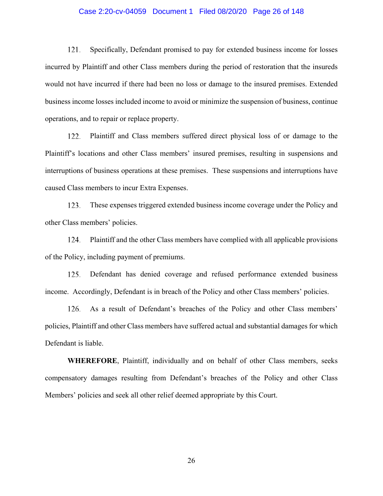### Case 2:20-cv-04059 Document 1 Filed 08/20/20 Page 26 of 148

121. Specifically, Defendant promised to pay for extended business income for losses incurred by Plaintiff and other Class members during the period of restoration that the insureds would not have incurred if there had been no loss or damage to the insured premises. Extended business income losses included income to avoid or minimize the suspension of business, continue operations, and to repair or replace property.

122. Plaintiff and Class members suffered direct physical loss of or damage to the Plaintiff's locations and other Class members' insured premises, resulting in suspensions and interruptions of business operations at these premises. These suspensions and interruptions have caused Class members to incur Extra Expenses.

123. These expenses triggered extended business income coverage under the Policy and other Class members' policies.

124. Plaintiff and the other Class members have complied with all applicable provisions of the Policy, including payment of premiums.

125. Defendant has denied coverage and refused performance extended business income. Accordingly, Defendant is in breach of the Policy and other Class members' policies.

126. As a result of Defendant's breaches of the Policy and other Class members' policies, Plaintiff and other Class members have suffered actual and substantial damages for which Defendant is liable.

**WHEREFORE**, Plaintiff, individually and on behalf of other Class members, seeks compensatory damages resulting from Defendant's breaches of the Policy and other Class Members' policies and seek all other relief deemed appropriate by this Court.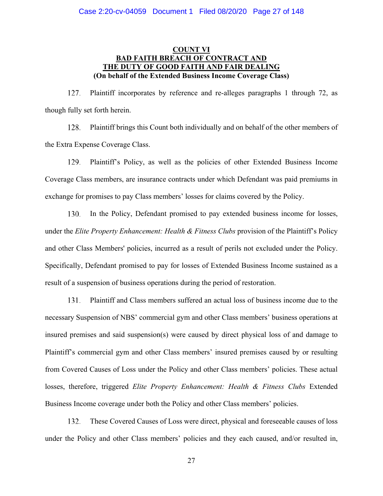# **COUNT VI BAD FAITH BREACH OF CONTRACT AND THE DUTY OF GOOD FAITH AND FAIR DEALING (On behalf of the Extended Business Income Coverage Class)**

Plaintiff incorporates by reference and re-alleges paragraphs 1 through 72, as 127. though fully set forth herein.

128. Plaintiff brings this Count both individually and on behalf of the other members of the Extra Expense Coverage Class.

129. Plaintiff's Policy, as well as the policies of other Extended Business Income Coverage Class members, are insurance contracts under which Defendant was paid premiums in exchange for promises to pay Class members' losses for claims covered by the Policy.

In the Policy, Defendant promised to pay extended business income for losses, 130. under the *Elite Property Enhancement: Health & Fitness Clubs* provision of the Plaintiff's Policy and other Class Members' policies, incurred as a result of perils not excluded under the Policy. Specifically, Defendant promised to pay for losses of Extended Business Income sustained as a result of a suspension of business operations during the period of restoration.

131. Plaintiff and Class members suffered an actual loss of business income due to the necessary Suspension of NBS' commercial gym and other Class members' business operations at insured premises and said suspension(s) were caused by direct physical loss of and damage to Plaintiff's commercial gym and other Class members' insured premises caused by or resulting from Covered Causes of Loss under the Policy and other Class members' policies. These actual losses, therefore, triggered *Elite Property Enhancement: Health & Fitness Clubs* Extended Business Income coverage under both the Policy and other Class members' policies.

132. These Covered Causes of Loss were direct, physical and foreseeable causes of loss under the Policy and other Class members' policies and they each caused, and/or resulted in,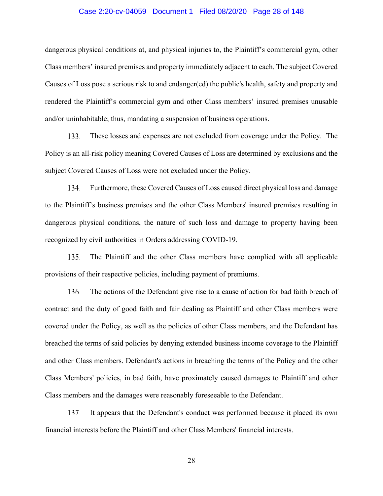### Case 2:20-cv-04059 Document 1 Filed 08/20/20 Page 28 of 148

dangerous physical conditions at, and physical injuries to, the Plaintiff's commercial gym, other Class members' insured premises and property immediately adjacent to each. The subject Covered Causes of Loss pose a serious risk to and endanger(ed) the public's health, safety and property and rendered the Plaintiff's commercial gym and other Class members' insured premises unusable and/or uninhabitable; thus, mandating a suspension of business operations.

133. These losses and expenses are not excluded from coverage under the Policy. The Policy is an all-risk policy meaning Covered Causes of Loss are determined by exclusions and the subject Covered Causes of Loss were not excluded under the Policy.

Furthermore, these Covered Causes of Loss caused direct physical loss and damage 134. to the Plaintiff's business premises and the other Class Members' insured premises resulting in dangerous physical conditions, the nature of such loss and damage to property having been recognized by civil authorities in Orders addressing COVID-19.

The Plaintiff and the other Class members have complied with all applicable 135. provisions of their respective policies, including payment of premiums.

136. The actions of the Defendant give rise to a cause of action for bad faith breach of contract and the duty of good faith and fair dealing as Plaintiff and other Class members were covered under the Policy, as well as the policies of other Class members, and the Defendant has breached the terms of said policies by denying extended business income coverage to the Plaintiff and other Class members. Defendant's actions in breaching the terms of the Policy and the other Class Members' policies, in bad faith, have proximately caused damages to Plaintiff and other Class members and the damages were reasonably foreseeable to the Defendant.

137. It appears that the Defendant's conduct was performed because it placed its own financial interests before the Plaintiff and other Class Members' financial interests.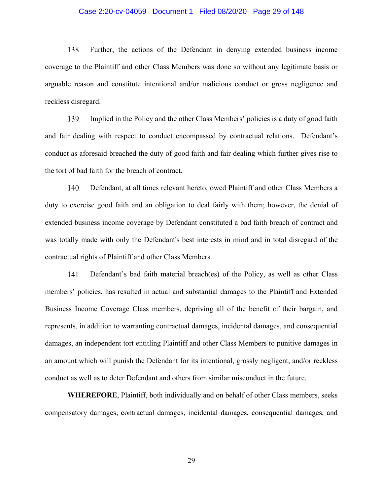### Case 2:20-cv-04059 Document 1 Filed 08/20/20 Page 29 of 148

138. Further, the actions of the Defendant in denying extended business income coverage to the Plaintiff and other Class Members was done so without any legitimate basis or arguable reason and constitute intentional and/or malicious conduct or gross negligence and reckless disregard.

139. Implied in the Policy and the other Class Members' policies is a duty of good faith and fair dealing with respect to conduct encompassed by contractual relations. Defendant's conduct as aforesaid breached the duty of good faith and fair dealing which further gives rise to the tort of bad faith for the breach of contract.

Defendant, at all times relevant hereto, owed Plaintiff and other Class Members a 140. duty to exercise good faith and an obligation to deal fairly with them; however, the denial of extended business income coverage by Defendant constituted a bad faith breach of contract and was totally made with only the Defendant's best interests in mind and in total disregard of the contractual rights of Plaintiff and other Class Members.

Defendant's bad faith material breach(es) of the Policy, as well as other Class members' policies, has resulted in actual and substantial damages to the Plaintiff and Extended Business Income Coverage Class members, depriving all of the benefit of their bargain, and represents, in addition to warranting contractual damages, incidental damages, and consequential damages, an independent tort entitling Plaintiff and other Class Members to punitive damages in an amount which will punish the Defendant for its intentional, grossly negligent, and/or reckless conduct as well as to deter Defendant and others from similar misconduct in the future.

**WHEREFORE**, Plaintiff, both individually and on behalf of other Class members, seeks compensatory damages, contractual damages, incidental damages, consequential damages, and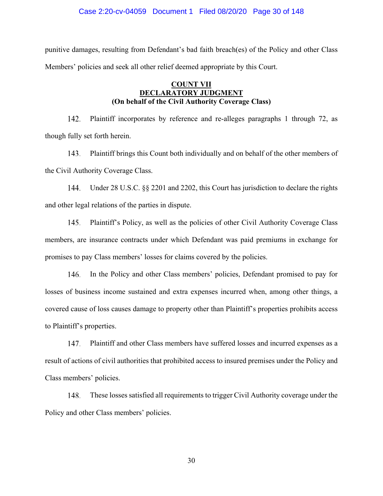punitive damages, resulting from Defendant's bad faith breach(es) of the Policy and other Class Members' policies and seek all other relief deemed appropriate by this Court.

# **COUNT VII DECLARATORY JUDGMENT (On behalf of the Civil Authority Coverage Class)**

142. Plaintiff incorporates by reference and re-alleges paragraphs 1 through 72, as though fully set forth herein.

 $143.$ Plaintiff brings this Count both individually and on behalf of the other members of the Civil Authority Coverage Class.

Under 28 U.S.C. §§ 2201 and 2202, this Court has jurisdiction to declare the rights 144. and other legal relations of the parties in dispute.

145. Plaintiff's Policy, as well as the policies of other Civil Authority Coverage Class members, are insurance contracts under which Defendant was paid premiums in exchange for promises to pay Class members' losses for claims covered by the policies.

In the Policy and other Class members' policies, Defendant promised to pay for losses of business income sustained and extra expenses incurred when, among other things, a covered cause of loss causes damage to property other than Plaintiff's properties prohibits access to Plaintiff's properties.

147. Plaintiff and other Class members have suffered losses and incurred expenses as a result of actions of civil authorities that prohibited access to insured premises under the Policy and Class members' policies.

These losses satisfied all requirements to trigger Civil Authority coverage under the 148. Policy and other Class members' policies.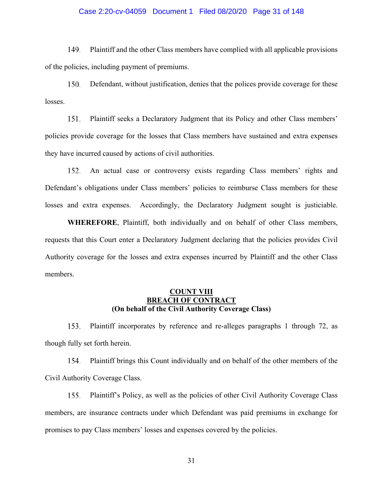### Case 2:20-cv-04059 Document 1 Filed 08/20/20 Page 31 of 148

149. Plaintiff and the other Class members have complied with all applicable provisions of the policies, including payment of premiums.

150. Defendant, without justification, denies that the polices provide coverage for these losses.

151. Plaintiff seeks a Declaratory Judgment that its Policy and other Class members' policies provide coverage for the losses that Class members have sustained and extra expenses they have incurred caused by actions of civil authorities.

An actual case or controversy exists regarding Class members' rights and 152. Defendant's obligations under Class members' policies to reimburse Class members for these losses and extra expenses. Accordingly, the Declaratory Judgment sought is justiciable.

**WHEREFORE**, Plaintiff, both individually and on behalf of other Class members, requests that this Court enter a Declaratory Judgment declaring that the policies provides Civil Authority coverage for the losses and extra expenses incurred by Plaintiff and the other Class members.

## **COUNT VIII BREACH OF CONTRACT (On behalf of the Civil Authority Coverage Class)**

153. Plaintiff incorporates by reference and re-alleges paragraphs 1 through 72, as though fully set forth herein.

Plaintiff brings this Count individually and on behalf of the other members of the 154. Civil Authority Coverage Class.

Plaintiff's Policy, as well as the policies of other Civil Authority Coverage Class 155. members, are insurance contracts under which Defendant was paid premiums in exchange for promises to pay Class members' losses and expenses covered by the policies.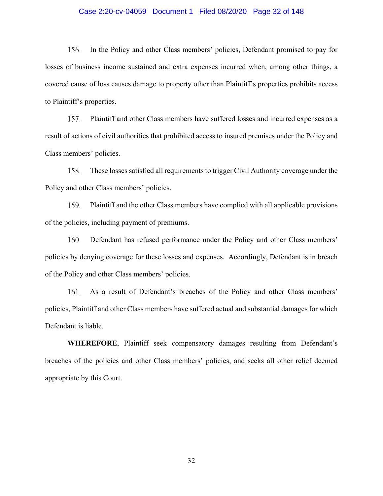### Case 2:20-cv-04059 Document 1 Filed 08/20/20 Page 32 of 148

156. In the Policy and other Class members' policies, Defendant promised to pay for losses of business income sustained and extra expenses incurred when, among other things, a covered cause of loss causes damage to property other than Plaintiff's properties prohibits access to Plaintiff's properties.

157. Plaintiff and other Class members have suffered losses and incurred expenses as a result of actions of civil authorities that prohibited access to insured premises under the Policy and Class members' policies.

These losses satisfied all requirements to trigger Civil Authority coverage under the 158. Policy and other Class members' policies.

159. Plaintiff and the other Class members have complied with all applicable provisions of the policies, including payment of premiums.

160. Defendant has refused performance under the Policy and other Class members' policies by denying coverage for these losses and expenses. Accordingly, Defendant is in breach of the Policy and other Class members' policies.

As a result of Defendant's breaches of the Policy and other Class members' policies, Plaintiff and other Class members have suffered actual and substantial damages for which Defendant is liable.

**WHEREFORE**, Plaintiff seek compensatory damages resulting from Defendant's breaches of the policies and other Class members' policies, and seeks all other relief deemed appropriate by this Court.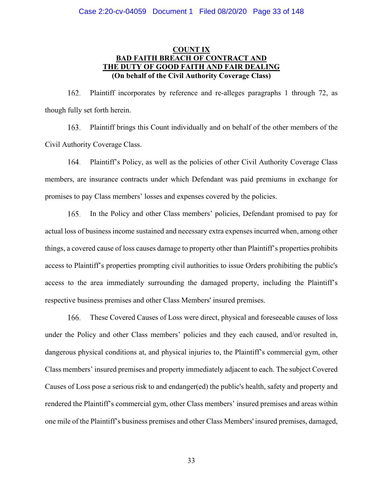# **COUNT IX BAD FAITH BREACH OF CONTRACT AND THE DUTY OF GOOD FAITH AND FAIR DEALING (On behalf of the Civil Authority Coverage Class)**

Plaintiff incorporates by reference and re-alleges paragraphs 1 through 72, as 162. though fully set forth herein.

163. Plaintiff brings this Count individually and on behalf of the other members of the Civil Authority Coverage Class.

164. Plaintiff's Policy, as well as the policies of other Civil Authority Coverage Class members, are insurance contracts under which Defendant was paid premiums in exchange for promises to pay Class members' losses and expenses covered by the policies.

In the Policy and other Class members' policies, Defendant promised to pay for 165. actual loss of business income sustained and necessary extra expenses incurred when, among other things, a covered cause of loss causes damage to property other than Plaintiff's properties prohibits access to Plaintiff's properties prompting civil authorities to issue Orders prohibiting the public's access to the area immediately surrounding the damaged property, including the Plaintiff's respective business premises and other Class Members' insured premises.

166. These Covered Causes of Loss were direct, physical and foreseeable causes of loss under the Policy and other Class members' policies and they each caused, and/or resulted in, dangerous physical conditions at, and physical injuries to, the Plaintiff's commercial gym, other Class members' insured premises and property immediately adjacent to each. The subject Covered Causes of Loss pose a serious risk to and endanger(ed) the public's health, safety and property and rendered the Plaintiff's commercial gym, other Class members' insured premises and areas within one mile of the Plaintiff's business premises and other Class Members' insured premises, damaged,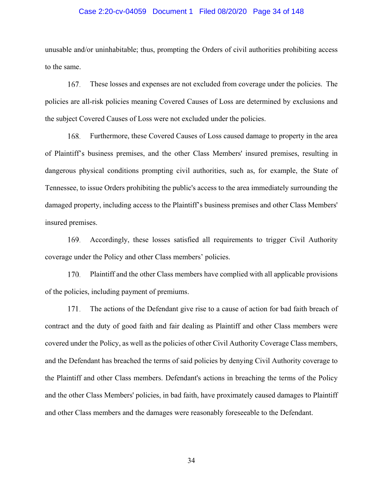#### Case 2:20-cv-04059 Document 1 Filed 08/20/20 Page 34 of 148

unusable and/or uninhabitable; thus, prompting the Orders of civil authorities prohibiting access to the same.

167. These losses and expenses are not excluded from coverage under the policies. The policies are all-risk policies meaning Covered Causes of Loss are determined by exclusions and the subject Covered Causes of Loss were not excluded under the policies.

168. Furthermore, these Covered Causes of Loss caused damage to property in the area of Plaintiff's business premises, and the other Class Members' insured premises, resulting in dangerous physical conditions prompting civil authorities, such as, for example, the State of Tennessee, to issue Orders prohibiting the public's access to the area immediately surrounding the damaged property, including access to the Plaintiff's business premises and other Class Members' insured premises.

169. Accordingly, these losses satisfied all requirements to trigger Civil Authority coverage under the Policy and other Class members' policies.

170. Plaintiff and the other Class members have complied with all applicable provisions of the policies, including payment of premiums.

171. The actions of the Defendant give rise to a cause of action for bad faith breach of contract and the duty of good faith and fair dealing as Plaintiff and other Class members were covered under the Policy, as well as the policies of other Civil Authority Coverage Class members, and the Defendant has breached the terms of said policies by denying Civil Authority coverage to the Plaintiff and other Class members. Defendant's actions in breaching the terms of the Policy and the other Class Members' policies, in bad faith, have proximately caused damages to Plaintiff and other Class members and the damages were reasonably foreseeable to the Defendant.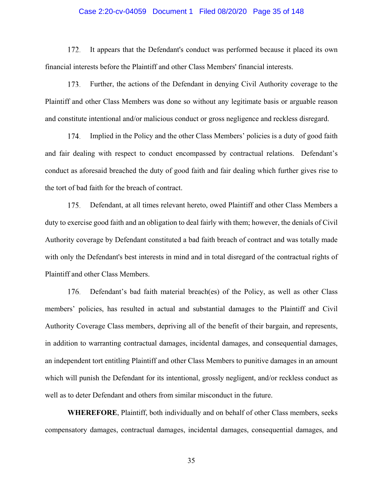### Case 2:20-cv-04059 Document 1 Filed 08/20/20 Page 35 of 148

172. It appears that the Defendant's conduct was performed because it placed its own financial interests before the Plaintiff and other Class Members' financial interests.

173. Further, the actions of the Defendant in denying Civil Authority coverage to the Plaintiff and other Class Members was done so without any legitimate basis or arguable reason and constitute intentional and/or malicious conduct or gross negligence and reckless disregard.

174. Implied in the Policy and the other Class Members' policies is a duty of good faith and fair dealing with respect to conduct encompassed by contractual relations. Defendant's conduct as aforesaid breached the duty of good faith and fair dealing which further gives rise to the tort of bad faith for the breach of contract.

Defendant, at all times relevant hereto, owed Plaintiff and other Class Members a 175. duty to exercise good faith and an obligation to deal fairly with them; however, the denials of Civil Authority coverage by Defendant constituted a bad faith breach of contract and was totally made with only the Defendant's best interests in mind and in total disregard of the contractual rights of Plaintiff and other Class Members.

176. Defendant's bad faith material breach(es) of the Policy, as well as other Class members' policies, has resulted in actual and substantial damages to the Plaintiff and Civil Authority Coverage Class members, depriving all of the benefit of their bargain, and represents, in addition to warranting contractual damages, incidental damages, and consequential damages, an independent tort entitling Plaintiff and other Class Members to punitive damages in an amount which will punish the Defendant for its intentional, grossly negligent, and/or reckless conduct as well as to deter Defendant and others from similar misconduct in the future.

**WHEREFORE**, Plaintiff, both individually and on behalf of other Class members, seeks compensatory damages, contractual damages, incidental damages, consequential damages, and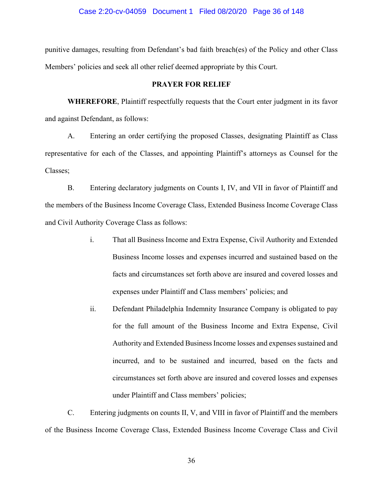punitive damages, resulting from Defendant's bad faith breach(es) of the Policy and other Class Members' policies and seek all other relief deemed appropriate by this Court.

### **PRAYER FOR RELIEF**

**WHEREFORE**, Plaintiff respectfully requests that the Court enter judgment in its favor and against Defendant, as follows:

A. Entering an order certifying the proposed Classes, designating Plaintiff as Class representative for each of the Classes, and appointing Plaintiff's attorneys as Counsel for the Classes;

B. Entering declaratory judgments on Counts I, IV, and VII in favor of Plaintiff and the members of the Business Income Coverage Class, Extended Business Income Coverage Class and Civil Authority Coverage Class as follows:

- i. That all Business Income and Extra Expense, Civil Authority and Extended Business Income losses and expenses incurred and sustained based on the facts and circumstances set forth above are insured and covered losses and expenses under Plaintiff and Class members' policies; and
- ii. Defendant Philadelphia Indemnity Insurance Company is obligated to pay for the full amount of the Business Income and Extra Expense, Civil Authority and Extended Business Income losses and expenses sustained and incurred, and to be sustained and incurred, based on the facts and circumstances set forth above are insured and covered losses and expenses under Plaintiff and Class members' policies;

C. Entering judgments on counts II, V, and VIII in favor of Plaintiff and the members of the Business Income Coverage Class, Extended Business Income Coverage Class and Civil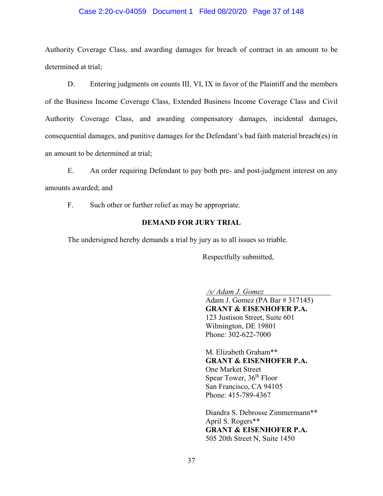### Case 2:20-cv-04059 Document 1 Filed 08/20/20 Page 37 of 148

Authority Coverage Class, and awarding damages for breach of contract in an amount to be determined at trial;

D. Entering judgments on counts III, VI, IX in favor of the Plaintiff and the members of the Business Income Coverage Class, Extended Business Income Coverage Class and Civil Authority Coverage Class, and awarding compensatory damages, incidental damages, consequential damages, and punitive damages for the Defendant's bad faith material breach(es) in an amount to be determined at trial;

E. An order requiring Defendant to pay both pre- and post-judgment interest on any amounts awarded; and

F. Such other or further relief as may be appropriate.

## **DEMAND FOR JURY TRIAL**

The undersigned hereby demands a trial by jury as to all issues so triable.

Respectfully submitted,

*/s/ Adam J. Gomez*

Adam J. Gomez (PA Bar # 317145) **GRANT & EISENHOFER P.A.** 123 Justison Street, Suite 601 Wilmington, DE 19801 Phone: 302-622-7000

M. Elizabeth Graham\*\* **GRANT & EISENHOFER P.A.** One Market Street Spear Tower, 36<sup>th</sup> Floor San Francisco, CA 94105 Phone: 415-789-4367

Diandra S. Debrosse Zimmermann\*\* April S. Rogers\*\* **GRANT & EISENHOFER P.A.**  505 20th Street N, Suite 1450